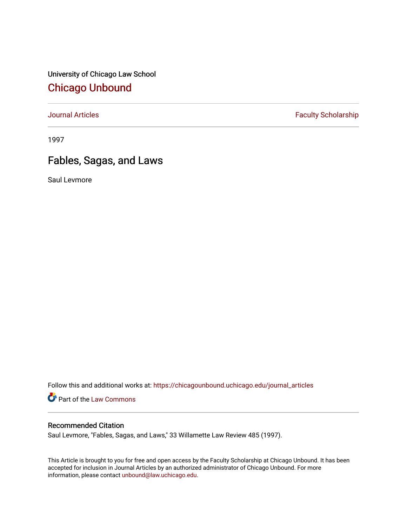University of Chicago Law School [Chicago Unbound](https://chicagounbound.uchicago.edu/)

[Journal Articles](https://chicagounbound.uchicago.edu/journal_articles) **Faculty Scholarship Faculty Scholarship** 

1997

# Fables, Sagas, and Laws

Saul Levmore

Follow this and additional works at: [https://chicagounbound.uchicago.edu/journal\\_articles](https://chicagounbound.uchicago.edu/journal_articles?utm_source=chicagounbound.uchicago.edu%2Fjournal_articles%2F1616&utm_medium=PDF&utm_campaign=PDFCoverPages) 

Part of the [Law Commons](http://network.bepress.com/hgg/discipline/578?utm_source=chicagounbound.uchicago.edu%2Fjournal_articles%2F1616&utm_medium=PDF&utm_campaign=PDFCoverPages)

## Recommended Citation

Saul Levmore, "Fables, Sagas, and Laws," 33 Willamette Law Review 485 (1997).

This Article is brought to you for free and open access by the Faculty Scholarship at Chicago Unbound. It has been accepted for inclusion in Journal Articles by an authorized administrator of Chicago Unbound. For more information, please contact [unbound@law.uchicago.edu](mailto:unbound@law.uchicago.edu).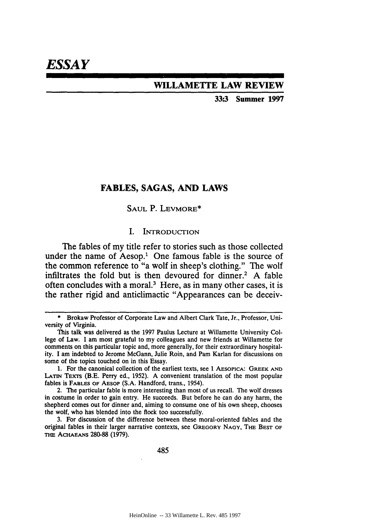## **WILLAMETTE LAW REVIEW**

**33:3 Summer 1997**

## **FABLES, SAGAS, AND LAWS**

## SAUL P. LEVMORE\*

#### I. INTRODUCTION

The fables of my title refer to stories such as those collected under the name of Aesop.<sup>1</sup> One famous fable is the source of the common reference to "a wolf in sheep's clothing." The wolf infiltrates the fold but is then devoured for dinner.2 **A** fable often concludes with a moral.3 Here, as in many other cases, it is the rather rigid and anticlimactic "Appearances can be deceiv-

485

**<sup>\*</sup>** Brokaw Professor of Corporate Law and Albert Clark Tate, Jr., Professor, University of Virginia.

This talk was delivered as the 1997 Paulus Lecture at Willamette University College of Law. I am most grateful to my colleagues and new friends at Willamette for comments on this particular topic and, more generally, for their extraordinary hospitality. I am indebted to Jerome McGann, Julie Roin, and Pam Karlan for discussions on some of the topics touched on in this Essay.

**<sup>1.</sup>** For the canonical collection of the earliest texts, see **1 AESOPICA:** GREEK **AND** LATIN TEXTS (B.E. Perry ed., 1952). A convenient translation of the most popular fables is **FABLES** OF AESOP (S.A. Handford, trans., 1954).

<sup>2.</sup> The particular fable is more interesting than most of us recall. The wolf dresses in costume in order to gain entry. He succeeds. But before he can do any harm, the shepherd comes out for dinner and, aiming to consume one of his own sheep, chooses the wolf, who has blended into the flock too successfully.

<sup>3.</sup> For discussion of the difference between these moral-oriented fables and the original fables in their larger narrative contexts, see **GREGORY** *NAOY,* THE **BEST Or THE** ACHAEANS 280-88 (1979).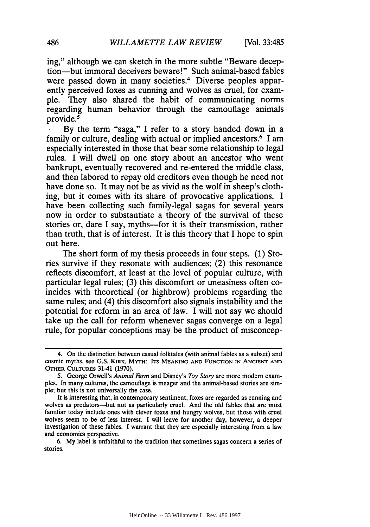ing," although we can sketch in the more subtle "Beware deception-but immoral deceivers beware!" Such animal-based fables were passed down in many societies.<sup>4</sup> Diverse peoples apparently perceived foxes as cunning and wolves as cruel, for example. They also shared the habit of communicating norms regarding human behavior through the camouflage animals provide.5

By the term "saga," I refer to a story handed down in a family or culture, dealing with actual or implied ancestors.<sup>6</sup> I am especially interested in those that bear some relationship to legal rules. I will dwell on one story about an ancestor who went bankrupt, eventually recovered and re-entered the middle class, and then labored to repay old creditors even though he need not have done so. It may not be as vivid as the wolf in sheep's clothing, but it comes with its share of provocative applications. I have been collecting such family-legal sagas for several years now in order to substantiate a theory of the survival of these stories or, dare I say, myths--for it is their transmission, rather than truth, that is of interest. It is this theory that I hope to spin out here.

The short form of my thesis proceeds in four steps. (1) Stories survive if they resonate with audiences; (2) this resonance reflects discomfort, at least at the level of popular culture, with particular legal rules; (3) this discomfort or uneasiness often coincides with theoretical (or highbrow) problems regarding the same rules; and (4) this discomfort also signals instability and the potential for reform in an area of law. I will not say we should take up the call for reform whenever sagas converge on a legal rule, for popular conceptions may be the product of misconcep-

6. My label is unfaithful to the tradition that sometimes sagas concern a series of stories.

<sup>4.</sup> On the distinction between casual folktales (with animal fables as a subset) and cosmic myths, see G.S. **KIRK,** MYTH: **ITS MEANING AND** FUNCTION **IN ANCIENT AND OTHER** CULTURES 31-41 (1970).

**<sup>5.</sup>** George Orwell's *Animal Farm* and Disney's *Toy Story* are more modem examples. In many cultures, the camouflage is meager and the animal-based stories are simple; but this is not universally the case.

It is interesting that, in contemporary sentiment, foxes are regarded as cunning and wolves as predators---but not as particularly cruel. And the old fables that are most familiar today include ones with clever foxes and hungry wolves, but those with cruel wolves seem to be of less interest. I will leave for another day, however, a deeper investigation of these fables. **I** warrant that they are especially interesting from a law and economics perspective.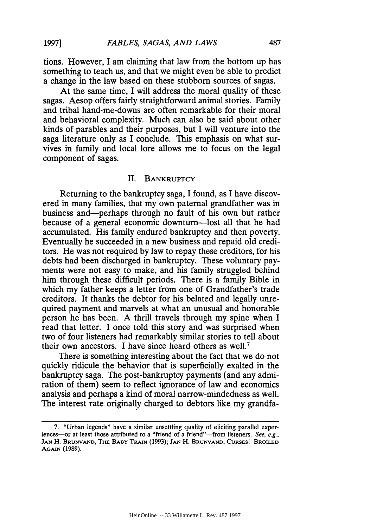tions. However, I am claiming that law from the bottom up has something to teach us, and that we might even be able to predict a change in the law based on these stubborn sources of sagas.

At the same time, I will address the moral quality of these sagas. Aesop offers fairly straightforward animal stories. Family and tribal hand-me-downs are often remarkable for their moral and behavioral complexity. Much can also be said about other kinds of parables and their purposes, but I will venture into the saga literature only as I conclude. This emphasis on what survives in family and local lore allows me to focus on the legal component of sagas.

#### **II.** BANKRUPTCY

Returning to the bankruptcy saga, I found, as I have discovered in many families, that my own paternal grandfather was in business and-perhaps through no fault of his own but rather because of a general economic downturn-lost all that he had accumulated. His family endured bankruptcy and then poverty. Eventually he succeeded in a new business and repaid old creditors. He was not required by law to repay these creditors, for his debts had been discharged in bankruptcy. These voluntary payments were not easy to make, and his family struggled behind him through these difficult periods. There is a family Bible in which my father keeps a letter from one of Grandfather's trade creditors. It thanks the debtor for his belated and legally unrequired payment and marvels at what an unusual and honorable person he has been. A thrill travels through my spine when I read that letter. I once told this story and was surprised when two of four listeners had remarkably similar stories to tell about their own ancestors. I have since heard others as well.<sup>7</sup>

There is something interesting about the fact that we do not quickly ridicule the behavior that is superficially exalted in the bankruptcy saga. The post-bankruptcy payments (and any admiration of them) seem to reflect ignorance of law and economics analysis and perhaps a kind of moral narrow-mindedness as well. The interest rate originally charged to debtors like my grandfa-

**1997]**

<sup>7. &</sup>quot;Urban legends" have a similar unsettling quality of eliciting parallel experiences—or at least those attributed to a "friend of a friend"—from listeners. See, e.g., **JAN** H. **BRUNVAND, THE BABY** TRAIN (1993); **JAN** H. **BRUNVAND, CURSES! BROILED AGAIN** (1989).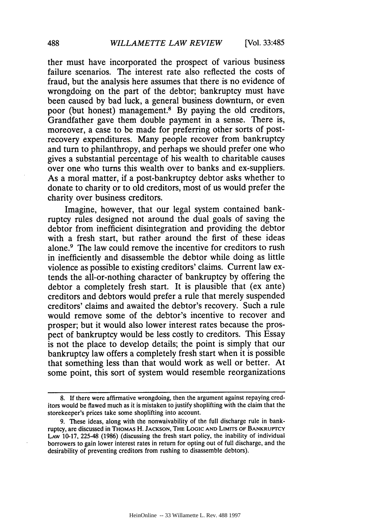ther must have incorporated the prospect of various business failure scenarios. The interest rate also reflected the costs of fraud, but the analysis here assumes that there is no evidence of wrongdoing on the part of the debtor; bankruptcy must have been caused by bad luck, a general business downturn, or even poor (but honest) management.8 By paying the old creditors, Grandfather gave them double payment in a sense. There is, moreover, a case to be made for preferring other sorts of postrecovery expenditures. Many people recover from bankruptcy and turn to philanthropy, and perhaps we should prefer one who gives a substantial percentage of his wealth to charitable causes over one who turns this wealth over to banks and ex-suppliers. As a moral matter, if a post-bankruptcy debtor asks whether to donate to charity or to old creditors, most of us would prefer the charity over business creditors.

Imagine, however, that our legal system contained bankruptcy rules designed not around the dual goals of saving the debtor from inefficient disintegration and providing the debtor with a fresh start, but rather around the first of these ideas alone.<sup>9</sup> The law could remove the incentive for creditors to rush in inefficiently and disassemble the debtor while doing as little violence as possible to existing creditors' claims. Current law extends the all-or-nothing character of bankruptcy by offering the debtor a completely fresh start. It is plausible that (ex ante) creditors and debtors would prefer a rule that merely suspended creditors' claims and awaited the debtor's recovery. Such a rule would remove some of the debtor's incentive to recover and prosper; but it would also lower interest rates because the prospect of bankruptcy would be less costly to creditors. This Essay is not the place to develop details; the point is simply that our bankruptcy law offers a completely fresh start when it is possible that something less than that would work as well or better. At some point, this sort of system would resemble reorganizations

<sup>8.</sup> If there were affirmative wrongdoing, then the argument against repaying creditors would be flawed much as it is mistaken to justify shoplifting with the claim that the storekeeper's prices take some shoplifting into account.

<sup>9.</sup> These ideas, along with the nonwaivability of the full discharge rule in bankruptcy, are discussed in **THOMAS** H. **JACKSON, THE LOGIC AND** LIMITS OF BANKRUPTCY **LAW** 10-17, 225-48 (1986) (discussing the fresh start policy, the inability of individual borrowers to gain lower interest rates in return for opting out of full discharge, and the desirability of preventing creditors from rushing to disassemble debtors).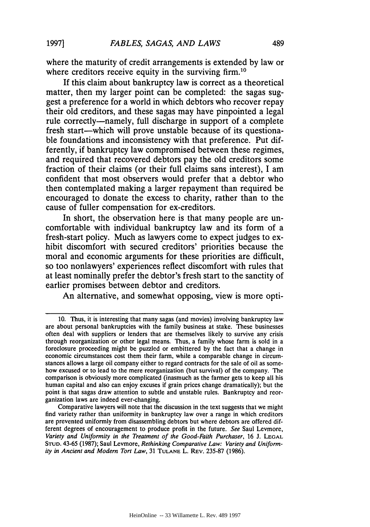where the maturity of credit arrangements is extended **by** law or where creditors receive equity in the surviving firm.<sup>10</sup>

If this claim about bankruptcy law is correct as a theoretical matter, then my larger point can be completed: the sagas suggest a preference for a world in which debtors who recover repay their old creditors, and these sagas may have pinpointed a legal rule correctly-namely, full discharge in support of a complete fresh start—which will prove unstable because of its questionable foundations and inconsistency with that preference. Put differently, if bankruptcy law compromised between these regimes, and required that recovered debtors pay the old creditors some fraction of their claims (or their full claims sans interest), **I** am confident that most observers would prefer that a debtor who then contemplated making a larger repayment than required be encouraged to donate the excess to charity, rather than to the cause of fuller compensation for ex-creditors.

In short, the observation here is that many people are uncomfortable with individual bankruptcy law and its form of a fresh-start policy. Much as lawyers come to expect judges to exhibit discomfort with secured creditors' priorities because the moral and economic arguments for these priorities are difficult, so too nonlawyers' experiences reflect discomfort with rules that at least nominally prefer the debtor's fresh start to the sanctity of earlier promises between debtor and creditors.

An alternative, and somewhat opposing, view is more opti-

**<sup>10.</sup>** Thus, it is interesting that many sagas (and movies) involving bankruptcy law are about personal bankruptcies with the family business at stake. These businesses often deal with suppliers or lenders that are themselves likely to survive any crisis through reorganization or other legal means. Thus, a family whose farm is sold in a foreclosure proceeding might be puzzled or embittered **by** the fact that a change in economic circumstances cost them their farm, while a comparable change in circumstances allows a large oil company either to regard contracts for the sale of oil as somehow excused or to lead to the mere reorganization (but survival) of the company. The comparison is obviously more complicated (inasmuch as the farmer gets to keep all his human capital and also can enjoy excuses if grain prices change dramatically); but the point is that sagas draw attention to subtle and unstable rules. Bankruptcy and reorganization laws are indeed ever-changing.

Comparative lawyers will note that the discussion in the text suggests that we might find variety rather than uniformity in bankruptcy law over a range in which creditors are prevented uniformly from disassembling debtors but where debtors are offered different degrees of encouragement to produce profit in the future. *See* Saul Levmore, *Variety and Uniformity in the Treatment of the Good-Faith Purchaser,* 16 **J. LEGAL STUD.** 43-65 (1987); Saul Levmore, *Rethinking Comparative Law: Variety and Uniformity in Ancient and Modern Tort Law,* 31 **TULANE** L. REV. 235-87 (1986).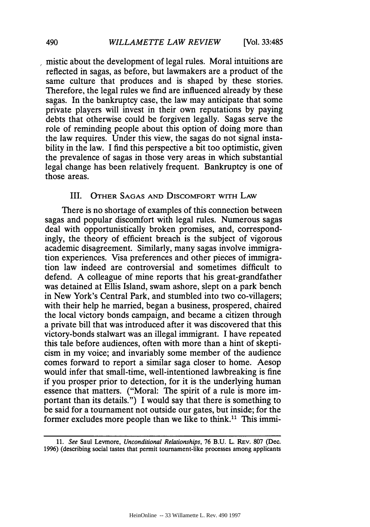mistic about the development of legal rules. Moral intuitions are reflected in sagas, as before, but lawmakers are a product of the same culture that produces and is shaped by these stories. Therefore, the legal rules we find are influenced already by these sagas. In the bankruptcy case, the law may anticipate that some private players will invest in their own reputations by paying debts that otherwise could be forgiven legally. Sagas serve the role of reminding people about this option of doing more than the law requires. Under this view, the sagas do not signal instability in the law. I find this perspective a bit too optimistic, given the prevalence of sagas in those very areas in which substantial legal change has been relatively frequent. Bankruptcy is one of those areas.

## III. OTHER SAGAS AND DIscoMFoRT WITH LAW

There is no shortage of examples of this connection between sagas and popular discomfort with legal rules. Numerous sagas deal with opportunistically broken promises, and, correspondingly, the theory of efficient breach is the subject of vigorous academic disagreement. Similarly, many sagas involve immigration experiences. Visa preferences and other pieces of immigration law indeed are controversial and sometimes difficult to defend. A colleague of mine reports that his great-grandfather was detained at Ellis Island, swam ashore, slept on a park bench in New York's Central Park, and stumbled into two co-villagers; with their help he married, began a business, prospered, chaired the local victory bonds campaign, and became a citizen through a private bill that was introduced after it was discovered that this victory-bonds stalwart was an illegal immigrant. I have repeated this tale before audiences, often with more than a hint of skepticism in my voice; and invariably some member of the audience comes forward to report a similar saga closer to home. Aesop would infer that small-time, well-intentioned lawbreaking is fine if you prosper prior to detection, for it is the underlying human essence that matters. ("Moral: The spirit of a rule is more important than its details.") I would say that there is something to be said for a tournament not outside our gates, but inside; for the former excludes more people than we like to think.<sup>11</sup> This immi-

<sup>11.</sup> *See* Saul Levmore, *Unconditional Relationships,* **76** B.U. L. REv. **807** (Dec. 1996) (describing social tastes that permit tournament-like processes among applicants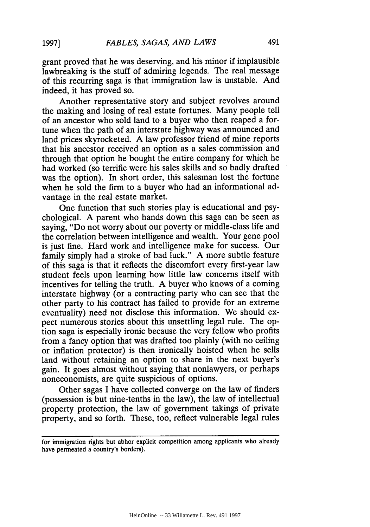grant proved that he was deserving, and his minor if implausible lawbreaking is the stuff of admiring legends. The real message of this recurring saga is that immigration law is unstable. And indeed, it has proved so.

Another representative story and subject revolves around the making and losing of real estate fortunes. Many people tell of an ancestor who sold land to a buyer who then reaped a fortune when the path of an interstate highway was announced and land prices skyrocketed. A law professor friend of mine reports that his ancestor received an option as a sales commission and through that option he bought the entire company for which he had worked (so terrific were his sales skills and so badly drafted was the option). In short order, this salesman lost the fortune when he sold the firm to a buyer who had an informational advantage in the real estate market.

One function that such stories play is educational and psychological. A parent who hands down this saga can be seen as saying, "Do not worry about our poverty or middle-class life and the correlation between intelligence and wealth. Your gene pool is just fine. Hard work and intelligence make for success. Our family simply had a stroke of bad luck." A more subtle feature of this saga is that it reflects the discomfort every first-year law student feels upon learning how little law concerns itself with incentives for telling the truth. A buyer who knows of a coming interstate highway (or a contracting party who can see that the other party to his contract has failed to provide for an extreme eventuality) need not disclose this information. We should expect numerous stories about this unsettling legal rule. The option saga is especially ironic because the very fellow who profits from a fancy option that was drafted too plainly (with no ceiling or inflation protector) is then ironically hoisted when he sells land without retaining an option to share in the next buyer's gain. It goes almost without saying that nonlawyers, or perhaps noneconomists, are quite suspicious of options.

Other sagas I have collected converge on the law of finders (possession is but nine-tenths in the law), the law of intellectual property protection, the law of government takings of private property, and so forth. These, too, reflect vulnerable legal rules

for immigration rights but abhor explicit competition among applicants who already have permeated a country's borders).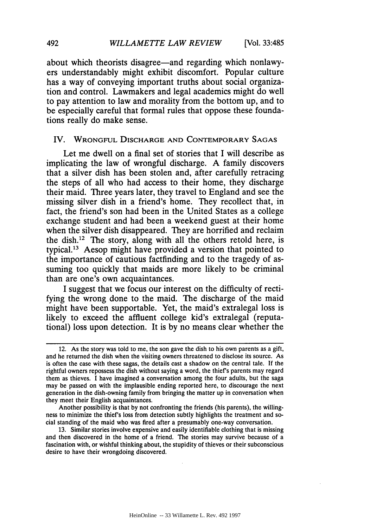about which theorists disagree—and regarding which nonlawyers understandably might exhibit discomfort. Popular culture has a way of conveying important truths about social organization and control. Lawmakers and legal academics might do well to pay attention to law and morality from the bottom up, and to be especially careful that formal rules that oppose these foundations really do make sense.

#### IV. WRONGFUL **DISCHARGE AND** CONTEMPORARY **SAGAS**

Let me dwell on a final set of stories that I will describe as implicating the law of wrongful discharge. A family discovers that a silver dish has been stolen and, after carefully retracing the steps of all who had access to their home, they discharge their maid. Three years later, they travel to England and see the missing silver dish in a friend's home. They recollect that, in fact, the friend's son had been in the United States as a college exchange student and had been a weekend guest at their home when the silver dish disappeared. They are horrified and reclaim the dish.<sup>12</sup> The story, along with all the others retold here, is typical. 13 Aesop might have provided a version that pointed to the importance of cautious factfinding and to the tragedy of assuming too quickly that maids are more likely to be criminal than are one's own acquaintances.

I suggest that we focus our interest on the difficulty of rectifying the wrong done to the maid. The discharge of the maid might have been supportable. Yet, the maid's extralegal loss is likely to exceed the affluent college kid's extralegal (reputational) loss upon detection. It is by no means clear whether the

<sup>12.</sup> As the story was told to me, the son gave the dish to his own parents as a gift, and he returned the dish when the visiting owners threatened to disclose its source. As is often the case with these sagas, the details cast a shadow on the central tale. If the rightful owners repossess the dish without saying a word, the thief's parents may regard them as thieves. I have imagined a conversation among the four adults, but the saga may be passed on with the implausible ending reported here, to discourage the next generation in the dish-owning family from bringing the matter up in conversation when they meet their English acquaintances.

Another possibility is that by not confronting the friends (his parents), the willingness to minimize the thief's loss from detection subtly highlights the treatment and social standing of the maid who was fired after a presumably one-way conversation.

<sup>13.</sup> Similar stories involve expensive and easily identifiable clothing that is missing and then discovered in the home of a friend. The stories may survive because of a fascination with, or wishful thinking about, the stupidity of thieves or their subconscious desire to have their wrongdoing discovered.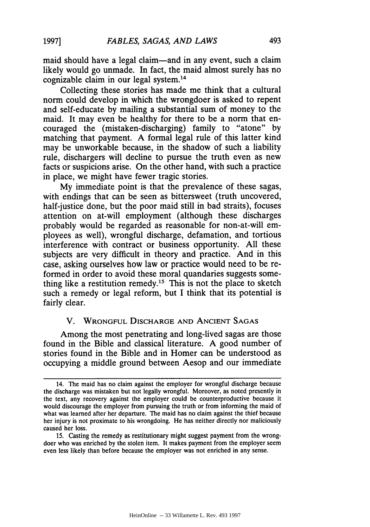maid should have a legal claim-and in any event, such a claim likely would go unmade. In fact, the maid almost surely has no cognizable claim in our legal system.<sup>14</sup>

Collecting these stories has made me think that a cultural norm could develop in which the wrongdoer is asked to repent and self-educate by mailing a substantial sum of money to the maid. It may even be healthy for there to be a norm that encouraged the (mistaken-discharging) family to "atone" by matching that payment. A formal legal rule of this latter kind may be unworkable because, in the shadow of such a liability rule, dischargers will decline to pursue the truth even as new facts or suspicions arise. On the other hand, with such a practice in place, we might have fewer tragic stories.

My immediate point is that the prevalence of these sagas, with endings that can be seen as bittersweet (truth uncovered, half-justice done, but the poor maid still in bad straits), focuses attention on at-will employment (although these discharges probably would be regarded as reasonable for non-at-will employees as well), wrongful discharge, defamation, and tortious interference with contract or business opportunity. All these subjects are very difficult in theory and practice. And in this case, asking ourselves how law or practice would need to be reformed in order to avoid these moral quandaries suggests something like a restitution remedy.<sup>15</sup> This is not the place to sketch such a remedy or legal reform, but I think that its potential is fairly clear.

#### V. **WRONGFUL DISCHARGE AND ANCIENT SAGAS**

Among the most penetrating and long-lived sagas are those found in the Bible and classical literature. A good number of stories found in the Bible and in Homer can be understood as occupying a middle ground between Aesop and our immediate

<sup>14.</sup> The maid has no claim against the employer for wrongful discharge because the discharge was mistaken but not legally wrongful. Moreover, as noted presently in the text, any recovery against the employer could be counterproductive because it would discourage the employer from pursuing the truth or from informing the maid of what was learned after her departure. The maid has no claim against the thief because her injury is not proximate to his wrongdoing. He has neither directly nor maliciously caused her loss.

<sup>15.</sup> Casting the remedy as restitutionary might suggest payment from the wrongdoer who was enriched by the stolen item. It makes payment from the employer seem even less likely than before because the employer was not enriched in any sense.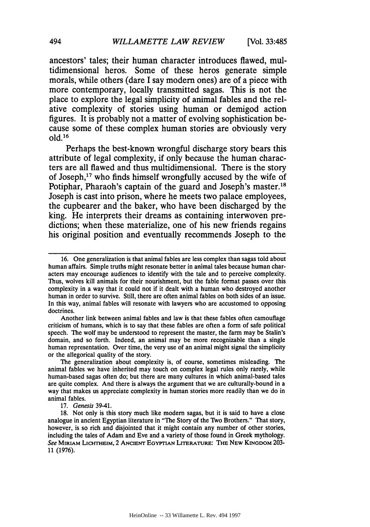ancestors' tales; their human character introduces flawed, multidimensional heros. Some of these heros generate simple morals, while others (dare I say modem ones) are of a piece with more contemporary, locally transmitted sagas. This is not the place to explore the legal simplicity of animal fables and the relative complexity of stories using human or demigod action figures. It is probably not a matter of evolving sophistication because some of these complex human stories are obviously very old.' 6

Perhaps the best-known wrongful discharge story bears this attribute of legal complexity, if only because the human characters are all flawed and thus multidimensional. There is the story of Joseph, 17 who finds himself wrongfully accused **by** the wife of Potiphar, Pharaoh's captain of the guard and Joseph's master.<sup>18</sup> Joseph is cast into prison, where he meets two palace employees, the cupbearer and the baker, who have been discharged **by** the king. He interprets their dreams as containing interwoven predictions; when these materialize, one of his new friends regains his original position and eventually recommends Joseph to the

Another link between animal fables and law is that these fables often camouflage criticism of humans, which is to say that these fables are often a form of safe political speech. The wolf may be understood to represent the master, the farm may be Stalin's domain, and so forth. Indeed, an animal may be more recognizable than a single human representation. Over time, the very use of an animal might signal the simplicity or the allegorical quality of the story.

The generalization about complexity is, of course, sometimes misleading. The animal fables we have inherited may touch on complex legal rules only rarely, while human-based sagas often do; but there are many cultures in which animal-based tales are quite complex. And there is always the argument that we are culturally-bound in a way that makes us appreciate complexity in human stories more readily than we do in animal fables.

17. Genesis 39-41.

18. Not only is this story much like modem sagas, but it is said to have a close analogue in ancient Egyptian literature in "The Story of the TWo Brothers." That story, however, is so rich and disjointed that it might contain any number of other stories, including the tales of Adam and Eve and a variety of those found in Greek mythology. *See* MIRIAM LIcHTHEIM, 2 **ANCIENT** EGYPTIAN LrTERATuRE: THE NEW KINGDOM **203-** 11 (1976).

<sup>16.</sup> One generalization is that animal fables are less complex than sagas told about human affairs. Simple truths might resonate better in animal tales because human characters may encourage audiences to identify with the tale and to perceive complexity. Thus, wolves kill animals for their nourishment, but the fable format passes over this complexity in a way that it could not if it dealt with a human who destroyed another human in order to survive. Still, there are often animal fables on both sides of an issue. In this way, animal fables will resonate with lawyers who are accustomed to opposing doctrines.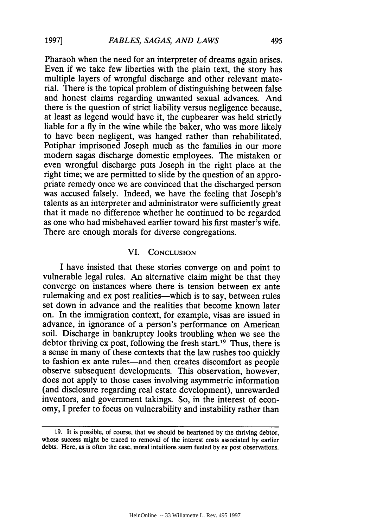Pharaoh when the need for an interpreter of dreams again arises. Even if we take few liberties with the plain text, the story has multiple layers of wrongful discharge and other relevant material. There is the topical problem of distinguishing between false and honest claims regarding unwanted sexual advances. And there is the question of strict liability versus negligence because, at least as legend would have it, the cupbearer was held strictly liable for a fly in the wine while the baker, who was more likely to have been negligent, was hanged rather than rehabilitated. Potiphar imprisoned Joseph much as the families in our more modem sagas discharge domestic employees. The mistaken or even wrongful discharge puts Joseph in the right place at the right time; we are permitted to slide by the question of an appropriate remedy once we are convinced that the discharged person was accused falsely. Indeed, we have the feeling that Joseph's talents as an interpreter and administrator were sufficiently great that it made no difference whether he continued to be regarded as one who had misbehaved earlier toward his first master's wife. There are enough morals for diverse congregations.

## VI. **CONCLUSION**

I have insisted that these stories converge on and point to vulnerable legal rules. An alternative claim might be that they converge on instances where there is tension between ex ante rulemaking and ex post realities—which is to say, between rules set down in advance and the realities that become known later on. In the immigration context, for example, visas are issued in advance, in ignorance of a person's performance on American soil. Discharge in bankruptcy looks troubling when we see the debtor thriving ex post, following the fresh start.<sup>19</sup> Thus, there is a sense in many of these contexts that the law rushes too quickly to fashion ex ante rules-and then creates discomfort as people observe subsequent developments. This observation, however, does not apply to those cases involving asymmetric information (and disclosure regarding real estate development), unrewarded inventors, and government takings. So, in the interest of economy, I prefer to focus on vulnerability and instability rather than

**1997]**

**<sup>19.</sup>** It is possible, of course, that we should be heartened by the thriving debtor, whose success might be traced to removal of the interest costs associated by earlier debts. Here, as is often the case, moral intuitions seem fueled by ex post observations.